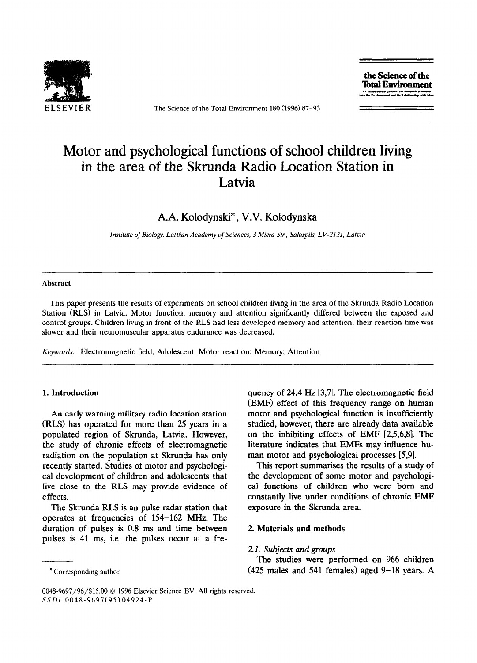

The Science of the Total Environment 180 (1996) 87-93

the Science of the **Total Environment** An International Journal for Scientific Remarch<br>lote the Environment and its Relationship with Mar

# Motor and psychological functions of school children living in the area of the Skrunda Radio Location Station in **Latvia**

## A.A. Kolodynski\*, V.V. Kolodynska

Institute of Biology, Latrian Academy of Sciences, 3 Miera Str., Salaspils, LV-2121, Latvia

#### Abstract

This paper presents the results of experiments on school children living in the area of the Skrunda Radio Location Station (RLS) in Latvia. Motor function, memory and attention significantly differed between the exposed and controf groups. Children living in front of the RLS had less developed memory and attention, their reaction time was slower and their neuromuscular apparatus endurance was decreased.

Keywords: Electromagnetic field; Adolescent; Motor reaction; Memory; Attention

#### 1. Introduction

An early warning military radio location station (RLS) has operated for more than 25 years in a populated region of Skrunda, Latvia. However, the study of chronic effects of electromagnetic radiation on the population at Skrunda has only recently started. Studies of motor and psychological development of children and adolescents that live close to the RLS may provide evidence of effects.

The Skrunda RLS is an pulse radar station that operates at frequencies of 154-162 MHz. The duration of pulses is 0.8 ms and time between pulses is 41 ms, i.e. the pulses occur at a frequency of 24.4 Hz [3,7]. The electromagnetic field (EMF) effect of this frequency range on human motor and psychological function is insufficiently studied, however, there are already data available on the inhibiting effects of EMF [2,5,6,8]. The literature indicates that EMFs may influence human motor and psychological processes [5,9].

This report summarises the results of a study of the development of some motor and psychological functions of children who were born and constantly live under conditions of chronic EMF exposure in the Skrunda area.

#### 2. Materials and methods

#### 2.1. Subjects and groups

The studies were performed on 966 children (425 males and 541 females) aged 9-18 years. A

<sup>\*</sup> Corresponding author

<sup>0048-9697/96/\$15.00 © 1996</sup> Elsevier Science BV. All rights reserved. SSDI 0048-9697(95)04924-P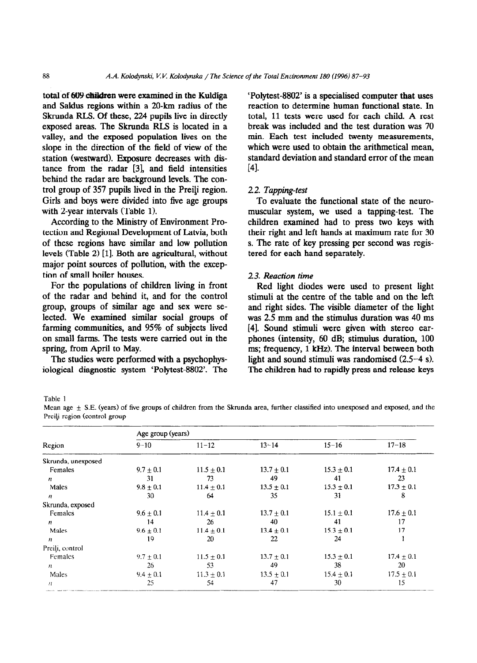total of 609 children were examined in the Kuldiga and Saidus regions within a 20-km radius of the Skrunda RLS. Of these, 224 pupils live in directly exposed areas. The Skrunda RLS is located in a valley, and the exposed population lives on the slope in the direction of the field of view of the station (westward). Exposure decreases with distance from the radar [3], and field intensities behind the radar are background levels. The control group of 357 pupils lived in the Preili region. Girls and boys were divided into five age groups with 2-year intervals (Table 1).

According to the Ministry of Environment Protection and Regional Development of Latvia, both of these regions have similar and low pollution levels (Table 2) [l]. Both are agricultural, without major point sources of pollution, with the exception of small boiler houses.

For the populations of children living in front of the radar and behind it, and for the control group, groups of similar age and sex were selected. We examined similar social groups of farming communities, and 95% of subjects lived on small farms. The tests were carried out in the spring, from April to May.

The studies were performed with a psychophysiological diagnostic system 'Polytest-8802'. The 'Polytest-8802' is a specialised computer that uses reaction to determine human functional state. In total, 11 tests were used for each child. A rest break was included and the test duration was 70 min. Each test included twenty measurements, which were used to obtain the arithmetical mean, standard deviation and standard error of the mean [41.

#### 2.2. Tapping-test

To evaluate the functional state of the neuromuscular system, we used a tapping-test. The children examined had to press two keys with their right and left hands at maximum rate for 30 s. The rate of key pressing per second was registered for each hand separately.

#### 2.3. Reaction time

Red light diodes were used to present light stimuli at the centre of the table and on the left and right sides. The visible diameter of the light was 2.5 mm and the stimulus duration was 40 ms [4]. Sound stimuli were given with stereo earphones (intensity, 60 dB; stimulus duration, 100 ms; frequency, 1 kHz). The interval between both light and sound stimuli was randomised  $(2.5-4 s)$ . The children had to rapidly press and release keys

Table 1

Mean age  $\pm$  S.E. (years) of five groups of children from the Skrunda area, further classified into unexposed and exposed, and the Preili region (control group

|                    | Age group (years) |                |                |                |                |  |  |
|--------------------|-------------------|----------------|----------------|----------------|----------------|--|--|
| Region             | $9 - 10$          | $11 - 12$      | $13 - 14$      | $15 - 16$      | $17 - 18$      |  |  |
| Skrunda, unexposed |                   |                |                |                |                |  |  |
| Females            | $9.7 \pm 0.1$     | $11.5 \pm 0.1$ | $13.7 \pm 0.1$ | $15.3 \pm 0.1$ | $17.4 \pm 0.1$ |  |  |
| $\boldsymbol{n}$   | 31                | 73             | 49             | 41             | 23             |  |  |
| Males              | $9.8 \pm 0.1$     | $11.4 \pm 0.1$ | $13.5 \pm 0.1$ | $15.3 \pm 0.1$ | $17.3 \pm 0.1$ |  |  |
| $\boldsymbol{n}$   | 30                | 64             | 35             | 31             | 8              |  |  |
| Skrunda, exposed   |                   |                |                |                |                |  |  |
| Females            | $9.6 \pm 0.1$     | $11.4 \pm 0.1$ | $13.7 \pm 0.1$ | $15.1 \pm 0.1$ | $17.6 + 0.1$   |  |  |
| $\mathbf n$        | 14                | 26             | 40             | 41             | 17             |  |  |
| Males              | $9.6 \pm 0.1$     | $11.4 + 0.1$   | $13.4 \pm 0.1$ | $15.3 \pm 0.1$ | 17             |  |  |
| n                  | 19                | 20             | 22             | 24             |                |  |  |
| Preili, control    |                   |                |                |                |                |  |  |
| Females            | $9.7 \pm 0.1$     | $11.5 \pm 0.1$ | $13.7 \pm 0.1$ | $15.3 \pm 0.1$ | $17.4 \pm 0.1$ |  |  |
| $\boldsymbol{n}$   | 26                | 53             | 49             | 38             | 20             |  |  |
| Males              | $9.4 \pm 0.1$     | $11.3 \pm 0.1$ | $13.5 \pm 0.1$ | $15.4 \pm 0.1$ | $17.5 \pm 0.1$ |  |  |
| Ħ                  | 25                | 54             | 47             | 30             | 15             |  |  |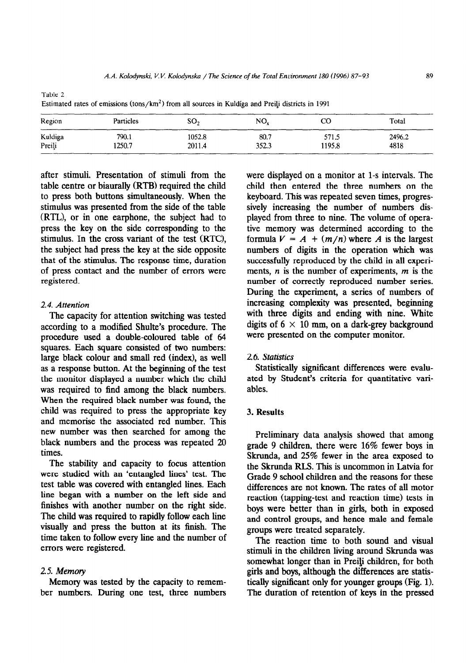| Region  | Particles | SO <sub>2</sub> | NO.   | CO     | Total  |
|---------|-----------|-----------------|-------|--------|--------|
| Kuldiga | 790.1     | 1052.8          | 80.7  | 571.5  | 2496.2 |
| Preili  | 1250.7    | 2011.4          | 352.3 | 1195.8 | 4818   |

Table 2 Estimated rates of emissions (tons/ $km<sup>2</sup>$ ) from all sources in Kuldiga and Preili districts in 1991

after stimuli. Presentation of stimuli from the table centre or biaurally (RTB) required the child to press both buttons simultaneously. When the stimulus was presented from the side of the table (RTL.), or in one earphone, the subject had to press the key on the side corresponding to the stimulus. In the cross variant of the test (RTC), the subject had press the key at the side opposite that of the stimulus. The response time, duration of press contact and the number of errors were registered.

#### 2.4. Attention

The capacity for attention switching was tested according to a modified Shulte's procedure. The procedure used a double-coloured table of 64 squares. Each square consisted of two numbers: large black colour and small red (index), as well as a response button. At the beginning of the test the monitor displayed a number which the child was required to find among the black numbers. When the required black number was found, the child was required to press the appropriate key and memorise the associated red number. This new number was then searched for among the black numbers and the process was repeated 20 times. The stability and capacity to focus attention

The stability and capacity to focus attention were studied with an 'entangled lines' test. The test table was covered with entangled lines. Each line began with a number on the left side and finishes with another number on the right side. The child was required to rapidly follow each line The clinu was required to rapidly follow each line visually and press the button at its linism. The time taken to follow every line and the number of errors were registered.

#### 2.5. Memory  $M$ emory was tested by the capacity to remem-

been numbers on the capacity to remem-

were displayed on a monitor at l-s intervals. The child then entered the three numbers on the keyboard. This was repeated seven times, progressively increasing the number of numbers displayed from three to nine. The volume of operative memory was determined according to the formula  $V = A + (m/n)$  where A is the largest numbers of digits in the operation which was successfully reproduced by the child in all experiments,  $n$  is the number of experiments,  $m$  is the number of correctly reproduced number series, During the experiment, a series of numbers of increasing complexity was presented, beginning with three digits and ending with nine. White digits of  $6 \times 10$  mm, on a dark-grey background were presented on the computer monitor.

#### 2.6. Statistics

Statistically significant differences were evaluated by Student's criteria for quantitative variables.

#### 3. Results

Preliminary data analysis showed that among grade 9 children, there were 16% fewer boys in Skrunda, and 25% fewer in the area exposed to the Skrunda RLS. This is uncommon in Latvia for Grade 9 school children and the reasons for these differences are not known. The rates of all motor reaction (tapping-test and reaction time) tests in boys were better than in girls, both in exposed boys were better than in grits, both in exposed and control groups, and nence oups were treated separately.

stimulation in the color sound and visual stimuli in the children living around Skrunda was somewhat longer than in Preili children, for both girls and boys, although the differences are statistically significant only for younger groups (Fig. 1).<br>The duration of retention of keys in the pressed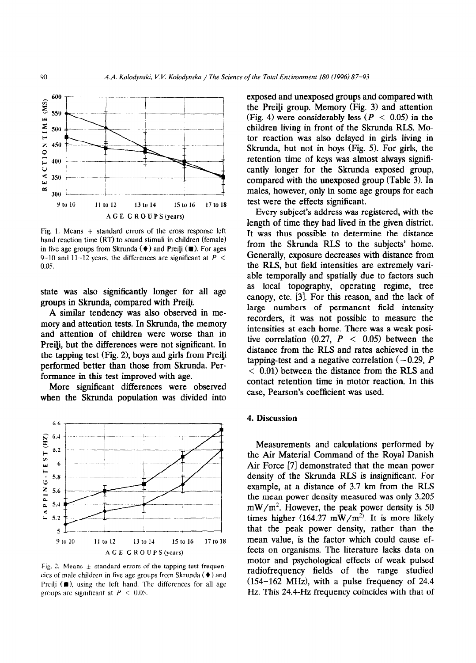

Fig. 1. Means  $\pm$  standard errors of the cross response left hand reaction time (RT) to sound stimuli in children (female) in five age groups from Skrunda  $(\triangle)$  and Preili ( $\blacksquare$ ). For ages 9-10 and 11-12 years, the differences are significant at  $P \leq$ 0.05.

state was also significantly longer for all age groups in Skrunda, compared with Preili.

A similar tendency was also observed in memory and attention tests. In Skrunda, the memory and attention of children were worse than in Preili, but the differences were not significant. In the tapping test  $(Fig. 2)$ , boys and girls from Preili performed better than those from Skrunda. Performance in this test improved with age.

More significant differences were observed when the Skrunda population was divided into



Fig. 2. Means  $\pm$  standard errors of the tapping test frequencies of male children in five age groups from Skrunda  $(\blacklozenge)$  and Preili ( $\blacksquare$ ), using the left hand. The differences for all age groups are significant at  $P < 0.05$ .

exposed and unexposed groups and compared with the Preili group. Memory (Fig. 3) and attention (Fig. 4) were considerably less ( $P < 0.05$ ) in the children living in front of the Skrunda RLS. Motor reaction was also delayed in girls living in Skrunda, but not in boys (Fig. 5). For girls, the retention time of keys was almost always significantly longer for the Skrunda exposed group, compared with the unexposed group (Table 3). In males, however, only in some age groups for each test were the effects significant.

Every subject's address was registered, with the length of time they had lived in the given district. It was thus possible to determine the distance from the Skrunda RLS to the subjects' home. Generally, exposure decreases with distance from the RLS, but field intensities are extremely variable temporally and spatially due to factors such as local topography, operating regime, tree canopy, etc. [3]. For this reason, and the lack of large numbers of permanent field intensity recorders, it was not possible to measure the intensities at each home. There was a weak positive correlation  $(0.27, P < 0.05)$  between the distance from the RLS and rates achieved in the tapping-test and a negative correlation  $(-0.29, P)$ < 0.01) between the distance from the RLS and contact retention time in motor reaction. In this case, Pearson's coefficient was used.

### 4. Discussion

Measurements and calculations performed by the Air Material Command of the Royal Danish Air Force [7] demonstrated that the mean power density of the Skrunda RLS is insignificant. For example, at a distance of 3.7 km from the RLS the mean power density measured was only 3.205  $mW/m^2$ . However, the peak power density is 50  $\frac{1}{10}$  m/m. Thowever, the peak power density is  $\frac{1}{2}$ . the peak peak  $(104.27 \text{ m})$  is the peak power than the theory  $\frac{m}{2}$  and  $\frac{m}{2}$  is the factor which could can be  $\frac{m}{2}$ find  $\alpha$  value, is the factor which come cause of fects on organisms. The literature lacks data on<br>motor and psychological effects of weak pulsed motor and psychological cricets of weak pulsed  $(154.462 \times 10^{14} \text{ m})$ , with a pulse frequency of  $24.44$  $(154-162 \text{ MHz})$ , with a pulse frequency of 24.4 Hz. This 24.4-Hz frequency coincides with that of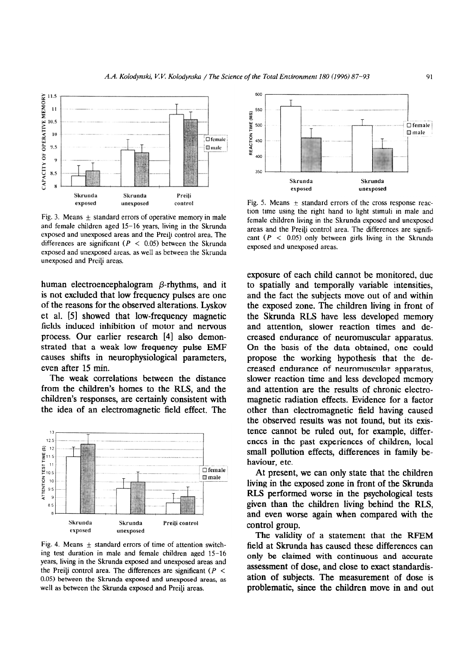

Fig. 3. Means  $\pm$  standard errors of operative memory in male and female children aged 15-16 years, living in the Skrunda exposed and unexposed areas and the Preili control area. The differences are significant ( $P < 0.05$ ) between the Skrunda exposed and unexposed areas, as well as between the Skrunda unexposed and Preili areas.

human electroencephalogram  $\beta$ -rhythms, and it is not excluded that low frequency pulses are one of the reasons for the observed alterations. Lyskov et al. [5] showed that low-frequency magnetic fields induced inhibition of motor and nervous process. Our earlier research [41 also demonstrated that a weak low frequency pulse EMF causes shifts in neurophysiological parameters, even after 15 min.

The weak correlations between the distance from the children's homes to the RLS, and the children's responses, are certainly consistent with the idea of an electromagnetic field effect. The



Fig. 4. Means  $\pm$  standard errors of time of attention switching test duration in male and female children aged 15-16 years, living in the Skrunda exposed and unexposed areas and the Preili control area. The differences are significant ( $P \leq$ 0.05) between the Skrunda exposed and unexposed areas, as well as between the Skrunda exposed and Preili areas.



Fig. 5. Means  $\pm$  standard errors of the cross response reaction time using the right hand to light stimuli in male and female children living in the Skrunda exposed and unexposed areas and the Preilj control area. The differences are significant ( $P < 0.05$ ) only between girls living in the Skrunda exposed and unexposed areas.

exposure of each child cannot be monitored, due to spatially and temporally variable intensities, and the fact the subjects move out of and within the exposed zone. The children living in front of the Skrunda RLS have less developed memory and attention, slower reaction times and decreased endurance of neuromuscular apparatus. On the basis of the data obtained, one could propose the working hypothesis that the decreased endurance of neuromuscular apparatus, slower reaction time and less developed memory and attention are the results of chronic electromagnetic radiation effects. Evidence for a factor other than electromagnetic field having caused the observed results was not found, but its existence cannot be ruled out, for example, differences in the past experiences of children, local small pollution effects, differences in family behaviour, etc.

At present, we can only state that the children living in the exposed zone in front of the Skrunda RLS performed worse in the psychological tests given than the children living behind the RLS, and even worse again when compared with the control group,

The validity of a statement that the RFEM field at Skrunda has caused these differences can only be claimed with continuous and accurate assessment of dose, and close to exact standardisation of subjects. The measurement of dose is problematic, since the children move in and out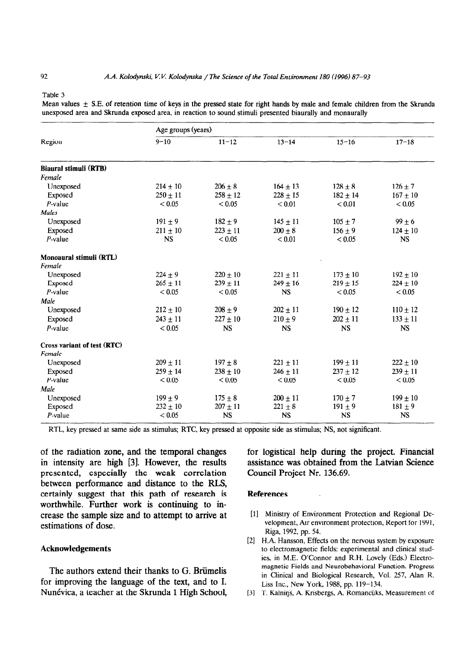Table 3

Mean values  $\pm$  S.E. of retention time of keys in the pressed state for right hands by male and female children from the Skrunda unexposed area and Skrunda exposed area, in reaction to sound stimuli presented biaurally and monaurally

|                             | Age groups (years) |              |              |              |              |  |  |
|-----------------------------|--------------------|--------------|--------------|--------------|--------------|--|--|
| Region                      | $9 - 10$           | $11 - 12$    | $13 - 14$    | $15 - 16$    | $17 - 18$    |  |  |
| Biaural stimuli (RTB)       |                    |              |              |              |              |  |  |
| Female                      |                    |              |              |              |              |  |  |
| Unexposed                   | $214 \pm 10$       | $206 \pm 8$  | $164 \pm 13$ | $128 \pm 8$  | $126 \pm 7$  |  |  |
| Exposed                     | $250 \pm 11$       | $258 + 12$   | $228 \pm 15$ | $182 \pm 14$ | $167 \pm 10$ |  |  |
| $P$ -value                  | ${}< 0.05$         | < 0.05       | < 0.01       | < 0.01       | < 0.05       |  |  |
| Males                       |                    |              |              |              |              |  |  |
| Unexposed                   | $191 \pm 9$        | $182 \pm 9$  | $145 \pm 11$ | $105 \pm 7$  | $99 \pm 6$   |  |  |
| Exposed                     | $211 \pm 10$       | $223 + 11$   | $200 + 8$    | $156 + 9$    | $124 \pm 10$ |  |  |
| $P$ -value                  | <b>NS</b>          | < 0.05       | < 0.01       | < 0.05       | <b>NS</b>    |  |  |
| Monoaural stimuli (RTL)     |                    |              |              |              |              |  |  |
| Female                      |                    |              |              |              |              |  |  |
| Unexposed                   | $224 \pm 9$        | $220 \pm 10$ | $221 \pm 11$ | $173 + 10$   | $192 \pm 10$ |  |  |
| Exposed                     | $265 + 11$         | $239 + 11$   | $249 \pm 16$ | $219 \pm 15$ | $224 \pm 10$ |  |  |
| $P$ -value                  | ${}< 0.05$         | < 0.05       | <b>NS</b>    | < 0.05       | < 0.05       |  |  |
| Male                        |                    |              |              |              |              |  |  |
| Unexposed                   | $212 \pm 10$       | $208 + 9$    | $202 + 11$   | $190 + 12$   | $110 \pm 12$ |  |  |
| Exposed                     | $243 \pm 11$       | $227 \pm 10$ | $210 + 9$    | $202 + 11$   | $133 \pm 11$ |  |  |
| $P$ -value                  | < 0.05             | <b>NS</b>    | <b>NS</b>    | <b>NS</b>    | <b>NS</b>    |  |  |
| Cross variant of test (RTC) |                    |              |              |              |              |  |  |
| Female                      |                    |              |              |              |              |  |  |
| Unexposed                   | $209 \pm 11$       | $197 + 8$    | $221 \pm 11$ | $199 \pm 11$ | $222 \pm 10$ |  |  |
| Exposed                     | $259 + 14$         | $238 \pm 10$ | $246 \pm 11$ | $237 + 12$   | $239 + 11$   |  |  |
| $P$ -value                  | < 0.05             | ${}_{0.05}$  | ${}_{0.05}$  | < 0.05       | ${}< 0.05$   |  |  |
| Male                        |                    |              |              |              |              |  |  |
| Unexposed                   | $199 \pm 9$        | $175 \pm 8$  | $200 + 11$   | $170\pm7$    | $199 \pm 10$ |  |  |
| Exposed                     | $232 \pm 10$       | $207 + 11$   | $221 \pm 8$  | $191 \pm 9$  | $181\pm9$    |  |  |
| P-value                     | ${}< 0.05$         | <b>NS</b>    | <b>NS</b>    | <b>NS</b>    | <b>NS</b>    |  |  |

RTL, key pressed at same side as stimulus; RTC, key pressed at opposite side as stimulus; NS, not significant.

of the radiation zone, and the temporal changes in intensity are high [3]. However, the results  $\mu$  measily are ngu (b). However, the result presented, especially the weak correlation certainly suggest to the RES. worthwhile. Further work is continued to the inworthwhile. Further work is continuing to increase the sample size and to attempt to arrive at estimations of dose.

#### Acknowledgements

The authors extend their thanks to G. Briimelis for authors catchet their thanks to O. Difficulty for improving the language of the text, and to I.<br>Nunévica, a teacher at the Skrunda 1 High School, for logistical help during the project. Financial assistance was obtained from the Latvian Science Council Project Nr. 136.69.

#### **References**

- [ll Ministry of Environment Protection and Regional Dewinistry of Environment Protection and Regional Development, Air environment protection, Report for 1991, Riga, 1992, pp. 54.
- [2] H.A. Hansson, Effects on the nervous system by exposure to electromagnetic fields: experimental and clinical studies, in M.E. O'Connor and R.H. Lovely (Eds.) Electromagnetic Fields and Neurobehavioral Function. Progress in Clinical and Biological Research, Vol. 257, Alan R. Liss Inc., New York, 1988, pp. 119–134.<br>[3] T. Kalnins, A. Krisbergs, A. Romancǔks, Measurement of
-